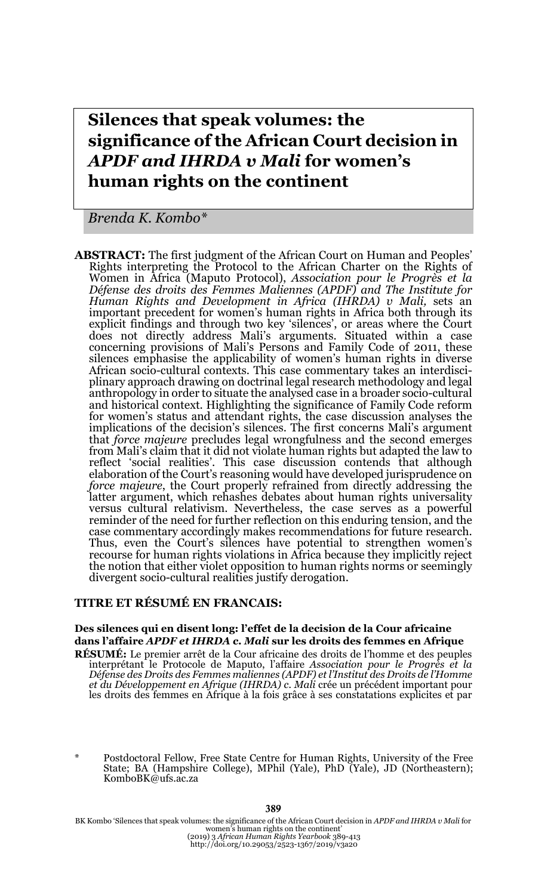# **Silences that speak volumes: the significance of the African Court decision in**  *APDF and IHRDA v Mali* **for women's human rights on the continent**

*Brenda K. Kombo\**

**ABSTRACT:** The first judgment of the African Court on Human and Peoples' Rights interpreting the Protocol to the African Charter on the Rights of Women in Africa (Maputo Protocol), *Association pour le Progrès et la Défense des droits des Femmes Maliennes (APDF) and The Institute for Human Rights and Development in Africa (IHRDA) v Mali,* sets an important precedent for women's human rights in Africa both through its explicit findings and through two key 'silences', or areas where the Court does not directly address Mali's arguments. Situated within a case concerning provisions of Mali's Persons and Family Code of 2011, these silences emphasise the applicability of women's human rights in diverse African socio-cultural contexts. This case commentary takes an interdisciplinary approach drawing on doctrinal legal research methodology and legal anthropology in order to situate the analysed case in a broader socio-cultural and historical context. Highlighting the significance of Family Code reform for women's status and attendant rights, the case discussion analyses the implications of the decision's silences. The first concerns Mali's argument that *force majeure* precludes legal wrongfulness and the second emerges from Mali's claim that it did not violate human rights but adapted the law to reflect 'social realities'. This case discussion contends that although elaboration of the Court's reasoning would have developed jurisprudence on *force majeure*, the Court properly refrained from directly addressing the latter argument, which rehashes debates about human rights universality versus cultural relativism. Nevertheless, the case serves as a powerful reminder of the need for further reflection on this enduring tension, and the case commentary accordingly makes recommendations for future research. Thus, even the Court's silences have potential to strengthen women's recourse for human rights violations in Africa because they implicitly reject the notion that either violet opposition to human rights norms or seemingly divergent socio-cultural realities justify derogation.

#### **TITRE ET RÉSUMÉ EN FRANCAIS:**

#### **Des silences qui en disent long: l'effet de la decision de la Cour africaine dans l'affaire** *APDF et IHRDA c. Mali* **sur les droits des femmes en Afrique**

**RÉSUMÉ:** Le premier arrêt de la Cour africaine des droits de l'homme et des peuples interprétant le Protocole de Maputo, l'affaire *Association pour le Progrès et la Défense des Droits des Femmes maliennes (APDF) et l'Institut des Droits de l'Homme et du Développement en Afrique (IHRDA) c. Mali* crée un précédent important pour les droits des femmes en Afrique à la fois grâce à ses constatations explicites et par

Postdoctoral Fellow, Free State Centre for Human Rights, University of the Free State; BA (Hampshire College), MPhil (Yale), PhD (Yale), JD (Northeastern); KomboBK@ufs.ac.za

BK Kombo 'Silences that speak volumes: the significance of the African Court decision in *APDF and IHRDA v Mali* for women's human rights on the continent' (2019) 3 *African Human Rights Yearbook* 389-413 http://doi.org/10.29053/2523-1367/2019/v3a20

#### 389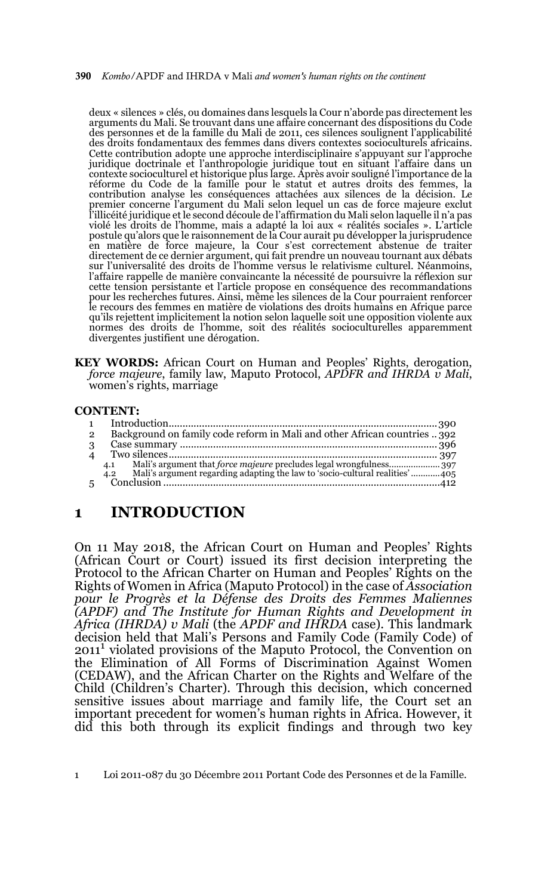390 *Kombo/*APDF and IHRDA v Mali *and women's human rights on the continent*

deux « silences » clés, ou domaines dans lesquels la Cour n'aborde pas directement les arguments du Mali. Se trouvant dans une affaire concernant des dispositions du Code des personnes et de la famille du Mali de 2011, ces silences soulignent l'applicabilité des droits fondamentaux des femmes dans divers contextes socioculturels africains. Cette contribution adopte une approche interdisciplinaire s'appuyant sur l'approche juridique doctrinale et l'anthropologie juridique tout en situant l'affaire dans un contexte socioculturel et historique plus large. Après avoir souligné l'importance de la réforme du Code de la famille pour le statut et autres droits des femmes, la contribution analyse les conséquences attachées aux silences de la décision. Le premier concerne l'argument du Mali selon lequel un cas de force majeure exclut l'illicéité juridique et le second découle de l'affirmation du Mali selon laquelle il n'a pas violé les droits de l'homme, mais a adapté la loi aux « réalités sociales ». L'article postule qu'alors que le raisonnement de la Cour aurait pu développer la jurisprudence en matière de force majeure, la Cour s'est correctement abstenue de traiter directement de ce dernier argument, qui fait prendre un nouveau tournant aux débats sur l'universalité des droits de l'homme versus le relativisme culturel. Néanmoins, l'affaire rappelle de manière convaincante la nécessité de poursuivre la réflexion sur cette tension persistante et l'article propose en conséquence des recommandations pour les recherches futures. Ainsi, même les silences de la Cour pourraient renforcer le recours des femmes en matière de violations des droits humains en Afrique parce qu'ils rejettent implicitement la notion selon laquelle soit une opposition violente aux normes des droits de l'homme, soit des réalités socioculturelles apparemment divergentes justifient une dérogation.

**KEY WORDS:** African Court on Human and Peoples' Rights, derogation, *force majeure*, family law, Maputo Protocol, *APDFR and IHRDA v Mali*, women's rights, marriage

#### **CONTENT:**

| $\mathbf{1}$           |                                                                                    |  |
|------------------------|------------------------------------------------------------------------------------|--|
| $\overline{2}$         | Background on family code reform in Mali and other African countries 392           |  |
| 3                      |                                                                                    |  |
| $\boldsymbol{\Lambda}$ |                                                                                    |  |
|                        | Mali's argument that force majeure precludes legal wrongfulness 397<br>4.1         |  |
|                        | Mali's argument regarding adapting the law to 'socio-cultural realities'405<br>4.2 |  |
|                        |                                                                                    |  |

# **1 INTRODUCTION**

On 11 May 2018, the African Court on Human and Peoples' Rights (African Court or Court) issued its first decision interpreting the Protocol to the African Charter on Human and Peoples' Rights on the Rights of Women in Africa (Maputo Protocol) in the case of *Association pour le Progrès et la Défense des Droits des Femmes Maliennes (APDF) and The Institute for Human Rights and Development in Africa (IHRDA) v Mali* (the *APDF and IHRDA* case). This landmark decision held that Mali's Persons and Family Code (Family Code) of 20111 violated provisions of the Maputo Protocol, the Convention on the Elimination of All Forms of Discrimination Against Women (CEDAW), and the African Charter on the Rights and Welfare of the Child (Children's Charter). Through this decision, which concerned sensitive issues about marriage and family life, the Court set an important precedent for women's human rights in Africa. However, it did this both through its explicit findings and through two key

<sup>1</sup> Loi 2011-087 du 30 Décembre 2011 Portant Code des Personnes et de la Famille.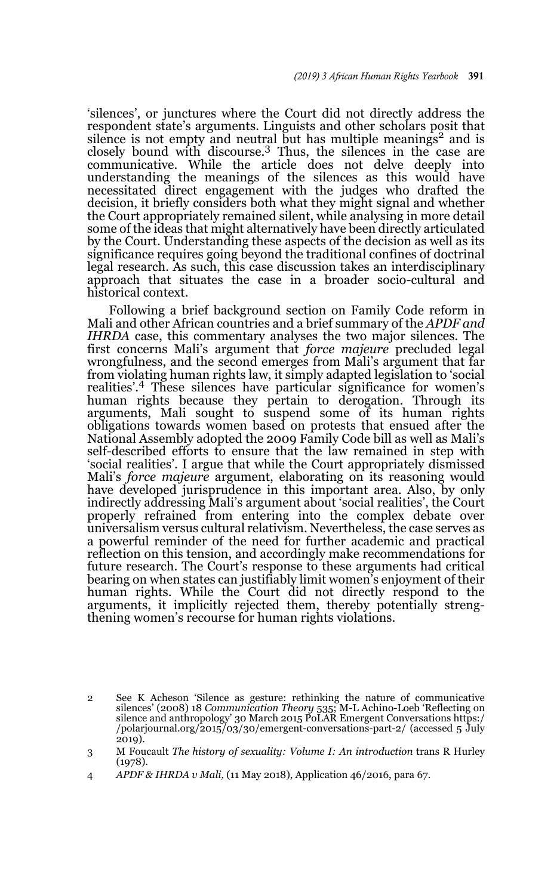'silences', or junctures where the Court did not directly address the respondent state's arguments. Linguists and other scholars posit that silence is not empty and neutral but has multiple meanings<sup>2</sup> and is closely bound with discourse.3 Thus, the silences in the case are communicative. While the article does not delve deeply into understanding the meanings of the silences as this would have necessitated direct engagement with the judges who drafted the decision, it briefly considers both what they might signal and whether the Court appropriately remained silent, while analysing in more detail some of the ideas that might alternatively have been directly articulated by the Court. Understanding these aspects of the decision as well as its significance requires going beyond the traditional confines of doctrinal legal research. As such, this case discussion takes an interdisciplinary approach that situates the case in a broader socio-cultural and historical context.

Following a brief background section on Family Code reform in Mali and other African countries and a brief summary of the *APDF and IHRDA* case, this commentary analyses the two major silences. The first concerns Mali's argument that *force majeure* precluded legal wrongfulness, and the second emerges from Mali's argument that far from violating human rights law, it simply adapted legislation to 'social realities'.4 These silences have particular significance for women's human rights because they pertain to derogation. Through its arguments, Mali sought to suspend some of its human rights obligations towards women based on protests that ensued after the National Assembly adopted the 2009 Family Code bill as well as Mali's self-described efforts to ensure that the law remained in step with 'social realities'. I argue that while the Court appropriately dismissed Mali's *force majeure* argument, elaborating on its reasoning would have developed jurisprudence in this important area. Also, by only indirectly addressing Mali's argument about 'social realities', the Court properly refrained from entering into the complex debate over universalism versus cultural relativism. Nevertheless, the case serves as a powerful reminder of the need for further academic and practical reflection on this tension, and accordingly make recommendations for future research. The Court's response to these arguments had critical bearing on when states can justifiably limit women's enjoyment of their human rights. While the Court did not directly respond to the arguments, it implicitly rejected them, thereby potentially strengthening women's recourse for human rights violations.

<sup>2</sup> See K Acheson 'Silence as gesture: rethinking the nature of communicative silences' (2008) 18 *Communication Theory* 535; M-L Achino-Loeb 'Reflecting on silence and anthropology' 30 March 2015 PoLAR Emergent Conversations https:/ /polarjournal.org/2015/03/30/emergent-conversations-part-2/ (accessed 5 July  $2019$ ).

<sup>3</sup> M Foucault *The history of sexuality: Volume I: An introduction* trans R Hurley (1978).

<sup>4</sup> *APDF & IHRDA v Mali,* (11 May 2018), Application 46/2016, para 67.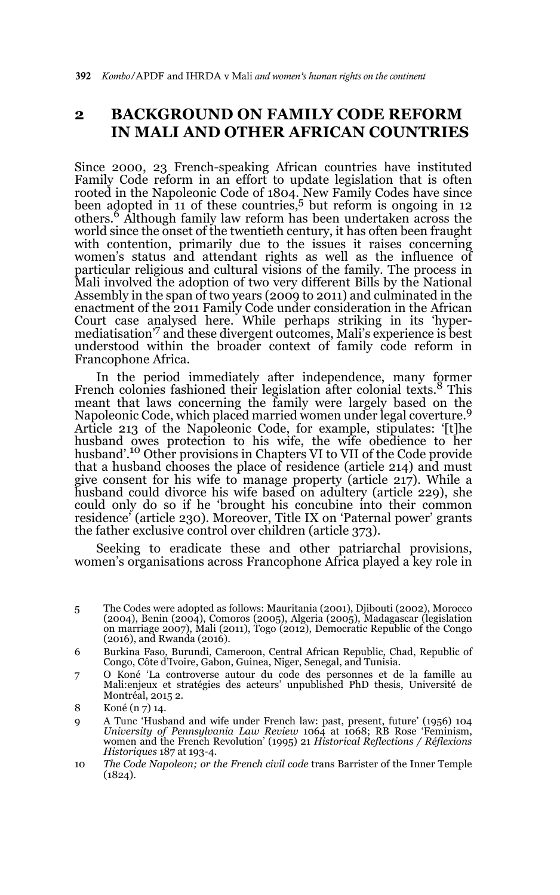# **2 BACKGROUND ON FAMILY CODE REFORM IN MALI AND OTHER AFRICAN COUNTRIES**

Since 2000, 23 French-speaking African countries have instituted Family Code reform in an effort to update legislation that is often rooted in the Napoleonic Code of 1804. New Family Codes have since been adopted in 11 of these countries,<sup>5</sup> but reform is ongoing in 12 others.6 Although family law reform has been undertaken across the world since the onset of the twentieth century, it has often been fraught with contention, primarily due to the issues it raises concerning women's status and attendant rights as well as the influence of particular religious and cultural visions of the family. The process in Mali involved the adoption of two very different Bills by the National Assembly in the span of two years (2009 to 2011) and culminated in the enactment of the 2011 Family Code under consideration in the African Court case analysed here. While perhaps striking in its 'hyper-mediatisation'7 and these divergent outcomes, Mali's experience is best understood within the broader context of family code reform in Francophone Africa.

In the period immediately after independence, many former French colonies fashioned their legislation after colonial texts.<sup>8</sup> This meant that laws concerning the family were largely based on the Napoleonic Code, which placed married women under legal coverture.<sup>9</sup> Article 213 of the Napoleonic Code, for example, stipulates: '[t]he husband owes protection to his wife, the wife obedience to her<br>husband'.<sup>10</sup> Other provisions in Chapters VI to VII of the Code provide that a husband chooses the place of residence (article 214) and must give consent for his wife to manage property (article 217). While a husband could divorce his wife based on adultery (article 229), she could only do so if he 'brought his concubine into their common residence' (article 230). Moreover, Title IX on 'Paternal power' grants the father exclusive control over children (article 373).

Seeking to eradicate these and other patriarchal provisions, women's organisations across Francophone Africa played a key role in

- 5 The Codes were adopted as follows: Mauritania (2001), Djibouti (2002), Morocco (2004), Benin (2004), Comoros (2005), Algeria (2005), Madagascar (legislation on marriage 2007), Mali (2011), Togo (2012), Democratic Republic of the Congo (2016), and Rwanda (2016).
- 6 Burkina Faso, Burundi, Cameroon, Central African Republic, Chad, Republic of Congo, Côte d'Ivoire, Gabon, Guinea, Niger, Senegal, and Tunisia.
- 7 O Koné 'La controverse autour du code des personnes et de la famille au Mali:enjeux et stratégies des acteurs' unpublished PhD thesis, Université de Montréal, 2015 2.
- 8 Koné (n 7) 14.
- 9 A Tunc 'Husband and wife under French law: past, present, future' (1956) 104 *University of Pennsylvania Law Review* 1064 at 1068; RB Rose 'Feminism, women and the French Revolution' (1995) 21 *Historical Reflections / Réflexions Historiques* 187 at 193-4.
- 10 *The Code Napoleon; or the French civil code* trans Barrister of the Inner Temple  $(1824)$ .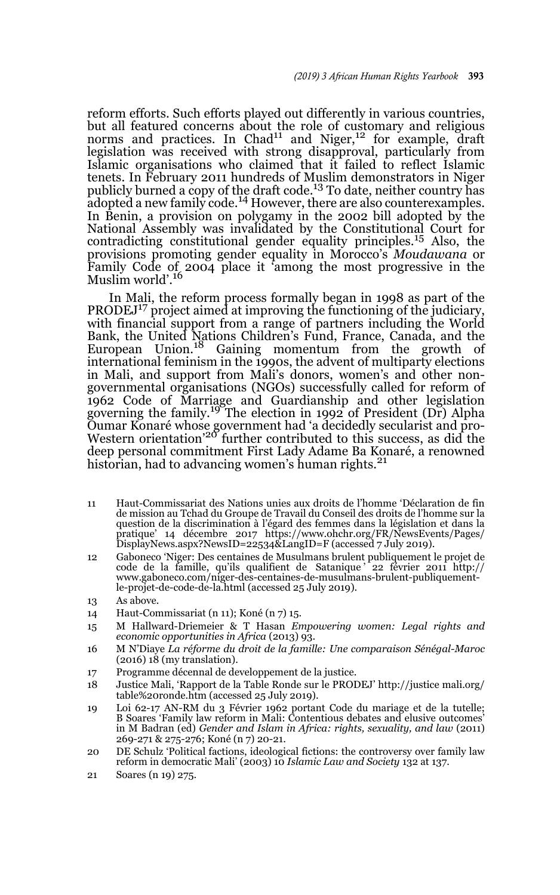reform efforts. Such efforts played out differently in various countries, but all featured concerns about the role of customary and religious norms and practices. In  $Chad<sup>11</sup>$  and Niger,<sup>12</sup> for example, draft legislation was received with strong disapproval, particularly from Islamic organisations who claimed that it failed to reflect Islamic tenets. In February 2011 hundreds of Muslim demonstrators in Niger publicly burned a copy of the draft code.13 To date, neither country has adopted a new family code.14 However, there are also counterexamples. In Benin, a provision on polygamy in the 2002 bill adopted by the National Assembly was invalidated by the Constitutional Court for contradicting constitutional gender equality principles.15 Also, the provisions promoting gender equality in Morocco's *Moudawana* or Family Code of 2004 place it 'among the most progressive in the Muslim world'.<sup>16</sup>

In Mali, the reform process formally began in 1998 as part of the PRODEJ<sup>17</sup> project aimed at improving the functioning of the judiciary, with financial support from a range of partners including the World Bank, the United Nations Children's Fund, France, Canada, and the European Union.<sup>18</sup> Gaining momentum from the growth of international feminism in the 1990s, the advent of multiparty elections in Mali, and support from Mali's donors, women's and other nongovernmental organisations (NGOs) successfully called for reform of 1962 Code of Marriage and Guardianship and other legislation governing the family.19 The election in 1992 of President (Dr) Alpha Oumar Konaré whose government had 'a decidedly secularist and pro-Western orientation'20 further contributed to this success, as did the deep personal commitment First Lady Adame Ba Konaré, a renowned historian, had to advancing women's human rights.<sup>21</sup>

- 11 Haut-Commissariat des Nations unies aux droits de l'homme 'Déclaration de fin de mission au Tchad du Groupe de Travail du Conseil des droits de l'homme sur la question de la discrimination à l'égard des femmes dans la législation et dans la pratique' 14 décembre 2017 https://www.ohchr.org/FR/NewsEvents/Pages/ DisplayNews.aspx?NewsID=22534&LangID=F (accessed 7 July 2019).
- 12 Gaboneco 'Niger: Des centaines de Musulmans brulent publiquement le projet de code de la famille, qu'ils qualifient de Satanique ' 22 février 2011 http:// www.gaboneco.com/niger-des-centaines-de-musulmans-brulent-publiquementle-projet-de-code-de-la.html (accessed 25 July 2019).
- 13 As above.
- 14 Haut-Commissariat (n 11); Koné (n 7) 15.
- 15 M Hallward-Driemeier & T Hasan *Empowering women: Legal rights and economic opportunities in Africa* (2013) 93.
- 16 M N'Diaye *La réforme du droit de la famille: Une comparaison Sénégal-Maroc*  $(2016)$  18 (my translation).
- 17 Programme décennal de developpement de la justice.
- 18 Justice Mali, 'Rapport de la Table Ronde sur le PRODEJ' http://justice mali.org/ table%20ronde.htm (accessed 25 July 2019).
- 19 Loi 62-17 AN-RM du 3 Février 1962 portant Code du mariage et de la tutelle; B Soares 'Family law reform in Mali: Contentious debates and elusive outcomes' in M Badran (ed) *Gender and Islam in Africa: rights, sexuality, and law* (2011) 269-271 & 275-276; Koné (n 7) 20-21.
- 20 DE Schulz 'Political factions, ideological fictions: the controversy over family law reform in democratic Mali' (2003) 10 *Islamic Law and Society* 132 at 137.
- 21 Soares (n 19) 275.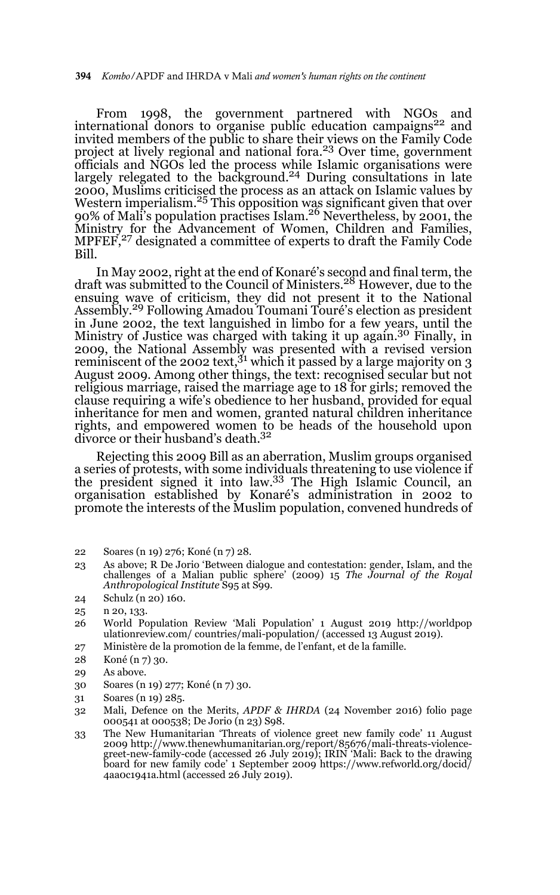From 1998, the government partnered with NGOs and international donors to organise public education campaigns<sup>22</sup> and invited members of the public to share their views on the Family Code project at lively regional and national fora.23 Over time, government officials and NGOs led the process while Islamic organisations were<br>largely relegated to the background.<sup>24</sup> During consultations in late 2000, Muslims criticised the process as an attack on Islamic values by **EVOGY** FREEDING CHREGGY AND PROCESS AS AN ARRAY OF EXAMPLE VALUE SY 90% of Mali's population practises Islam.<sup>26</sup> Nevertheless, by 2001, the Ministry for the Advancement of Women, Children and Families, MPFEF,<sup>27</sup> designated a committee of experts to draft the Family Code Bill.

In May 2002, right at the end of Konaré's second and final term, the draft was submitted to the Council of Ministers.28 However, due to the ensuing wave of criticism, they did not present it to the National<br>Assembly.<sup>29</sup> Following Amadou Toumani Touré's election as president in June 2002, the text languished in limbo for a few years, until the Ministry of Justice was charged with taking it up again.<sup>30</sup> Finally, in 2009, the National Assembly was presented with a revised version reminiscent of the 2002 text,<sup>31</sup> which it passed by a large majority on 3 August 2009. Among other things, the text: recognised secular but not religious marriage, raised the marriage age to 18 for girls; removed the clause requiring a wife's obedience to her husband, provided for equal inheritance for men and women, granted natural children inheritance rights, and empowered women to be heads of the household upon divorce or their husband's death.32

Rejecting this 2009 Bill as an aberration, Muslim groups organised a series of protests, with some individuals threatening to use violence if the president signed it into law.33 The High Islamic Council, an organisation established by Konaré's administration in 2002 to promote the interests of the Muslim population, convened hundreds of

- 23 As above; R De Jorio 'Between dialogue and contestation: gender, Islam, and the challenges of a Malian public sphere' (2009) 15 *The Journal of the Royal Anthropological Institute* S95 at S99.
- 24 Schulz (n 20) 160.

- 26 World Population Review 'Mali Population' 1 August 2019 http://worldpop ulationreview.com/ countries/mali-population/ (accessed 13 August 2019).
- 27 Ministère de la promotion de la femme, de l'enfant, et de la famille.
- 28 Koné (n 7) 30.
- 29 As above.
- 30 Soares (n 19) 277; Koné (n 7) 30.
- 31 Soares (n 19) 285.
- 32 Mali, Defence on the Merits, *APDF & IHRDA* (24 November 2016) folio page 000541 at 000538; De Jorio (n 23) S98.
- 33 The New Humanitarian 'Threats of violence greet new family code' 11 August 2009 http://www.thenewhumanitarian.org/report/85676/mali-threats-violence-greet-new-family-code (accessed 26 July 2019); IRIN 'Mali: Back to the drawing board for new family code' 1 September 2009 https://www.refworld.org/docid/ 4aa0c1941a.html (accessed 26 July 2019).

<sup>22</sup> Soares (n 19) 276; Koné (n 7) 28.

<sup>25</sup> n 20, 133.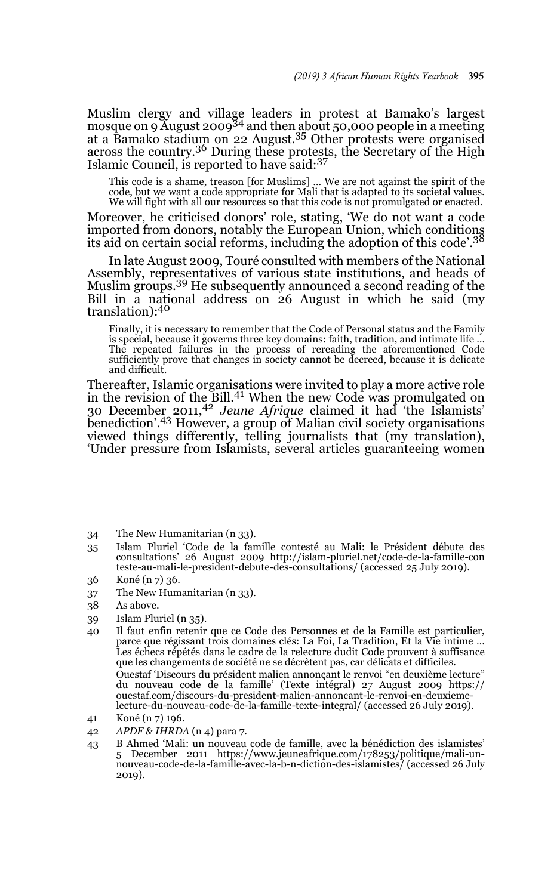Muslim clergy and village leaders in protest at Bamako's largest mosque on 9 August 2009<sup>34</sup> and then about 50,000 people in a meeting at a Bamako stadium on 22 August.35 Other protests were organised across the country.36 During these protests, the Secretary of the High Islamic Council, is reported to have said:<sup>37</sup>

This code is a shame, treason [for Muslims] … We are not against the spirit of the code, but we want a code appropriate for Mali that is adapted to its societal values. We will fight with all our resources so that this code is not promulgated or enacted.

Moreover, he criticised donors' role, stating, 'We do not want a code imported from donors, notably the European Union, which conditions its aid on certain social reforms, including the adoption of this code'.<sup>38</sup>

In late August 2009, Touré consulted with members of the National Assembly, representatives of various state institutions, and heads of Muslim groups.<sup>39</sup> He subsequently announced a second reading of the Bill in a national address on 26 August in which he said (my translation):<sup>40</sup>

Finally, it is necessary to remember that the Code of Personal status and the Family is special, because it governs three key domains: faith, tradition, and intimate life … The repeated failures in the process of rereading the aforementioned Code sufficiently prove that changes in society cannot be decreed, because it is delicate and difficult.

Thereafter, Islamic organisations were invited to play a more active role in the revision of the Bill.<sup>41</sup> When the new Code was promulgated on 30 December 2011,42 *Jeune Afrique* claimed it had 'the Islamists' benediction'.<sup>43</sup> However, a group of Malian civil society organisations viewed things differently, telling journalists that (my translation), 'Under pressure from Islamists, several articles guaranteeing women

- 34 The New Humanitarian (n 33).
- 35 Islam Pluriel 'Code de la famille contesté au Mali: le Président débute des consultations' 26 August 2009 http://islam-pluriel.net/code-de-la-famille-con teste-au-mali-le-president-debute-des-consultations/ (accessed 25 July 2019).
- 36 Koné (n 7) 36.
- 37 The New Humanitarian (n 33).
- 38 As above.
- 39 Islam Pluriel (n 35).
- 40 Il faut enfin retenir que ce Code des Personnes et de la Famille est particulier, parce que régissant trois domaines clés: La Foi, La Tradition, Et la Vie intime … Les échecs répétés dans le cadre de la relecture dudit Code prouvent à suffisance que les changements de société ne se décrètent pas, car délicats et difficiles. Ouestaf 'Discours du président malien annonçant le renvoi "en deuxième lecture" du nouveau code de la famille' (Texte intégral) 27 August 2009 https:// ouestaf.com/discours-du-president-malien-annoncant-le-renvoi-en-deuxiemelecture-du-nouveau-code-de-la-famille-texte-integral/ (accessed 26 July 2019).
- 41 Koné (n 7) 196.
- 42 *APDF & IHRDA* (n 4) para 7.
- 43 B Ahmed 'Mali: un nouveau code de famille, avec la bénédiction des islamistes' 5 December 2011 https://www.jeuneafrique.com/178253/politique/mali-unnouveau-code-de-la-famille-avec-la-b-n-diction-des-islamistes/ (accessed 26 July 2019).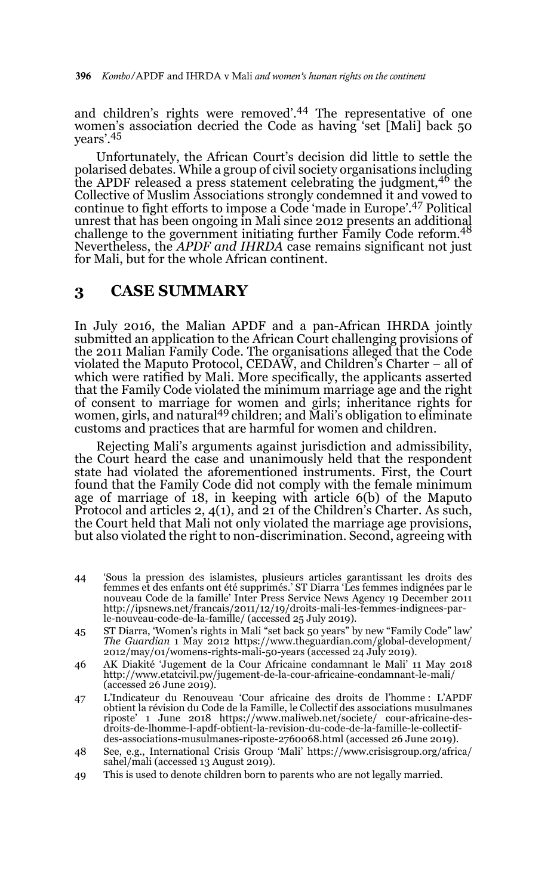and children's rights were removed'.44 The representative of one women's association decried the Code as having 'set [Mali] back 50 years'.45

Unfortunately, the African Court's decision did little to settle the polarised debates. While a group of civil society organisations including the APDF released a press statement celebrating the judgment,<sup>46</sup> the Collective of Muslim Associations strongly condemned it and vowed to continue to fight efforts to impose a Code 'made in Europe'.47 Political unrest that has been ongoing in Mali since 2012 presents an additional<br>challenge to the government initiating further Family Code reform.<sup>48</sup> Nevertheless, the *APDF and IHRDA* case remains significant not just for Mali, but for the whole African continent.

# **3 CASE SUMMARY**

In July 2016, the Malian APDF and a pan-African IHRDA jointly submitted an application to the African Court challenging provisions of the 2011 Malian Family Code. The organisations alleged that the Code violated the Maputo Protocol, CEDAW, and Children's Charter – all of which were ratified by Mali. More specifically, the applicants asserted that the Family Code violated the minimum marriage age and the right of consent to marriage for women and girls; inheritance rights for<br>women, girls, and natural<sup>49</sup> children; and Mali's obligation to eliminate customs and practices that are harmful for women and children.

Rejecting Mali's arguments against jurisdiction and admissibility, the Court heard the case and unanimously held that the respondent state had violated the aforementioned instruments. First, the Court found that the Family Code did not comply with the female minimum age of marriage of 18, in keeping with article 6(b) of the Maputo Protocol and articles 2, 4(1), and 21 of the Children's Charter. As such, the Court held that Mali not only violated the marriage age provisions, but also violated the right to non-discrimination. Second, agreeing with

- 44 'Sous la pression des islamistes, plusieurs articles garantissant les droits des femmes et des enfants ont été supprimés.' ST Diarra 'Les femmes indignées par le nouveau Code de la famille' Inter Press Service News Agency 19 December 2011 http://ipsnews.net/francais/2011/12/19/droits-mali-les-femmes-indignees-par-le-nouveau-code-de-la-famille/ (accessed 25 July 2019).
- 45 ST Diarra, 'Women's rights in Mali "set back 50 years" by new "Family Code" law' *The Guardian* 1 May 2012 https://www.theguardian.com/global-development/ 2012/may/01/womens-rights-mali-50-years (accessed 24 July 2019).
- 46 AK Diakité 'Jugement de la Cour Africaine condamnant le Mali' 11 May 2018 http://www.etatcivil.pw/jugement-de-la-cour-africaine-condamnant-le-mali/  $(\text{accessed } 26 \text{ June } 2019)$
- 47 L'Indicateur du Renouveau 'Cour africaine des droits de l'homme : L'APDF obtient la révision du Code de la Famille, le Collectif des associations musulmanes riposte' 1 June 2018 https://www.maliweb.net/societe/ cour-africaine-desdroits-de-lhomme-l-apdf-obtient-la-revision-du-code-de-la-famille-le-collectifdes-associations-musulmanes-riposte-2760068.html (accessed 26 June 2019).
- 48 See, e.g., International Crisis Group 'Mali' https://www.crisisgroup.org/africa/ sahel/mali (accessed 13 August 2019).
- 49 This is used to denote children born to parents who are not legally married.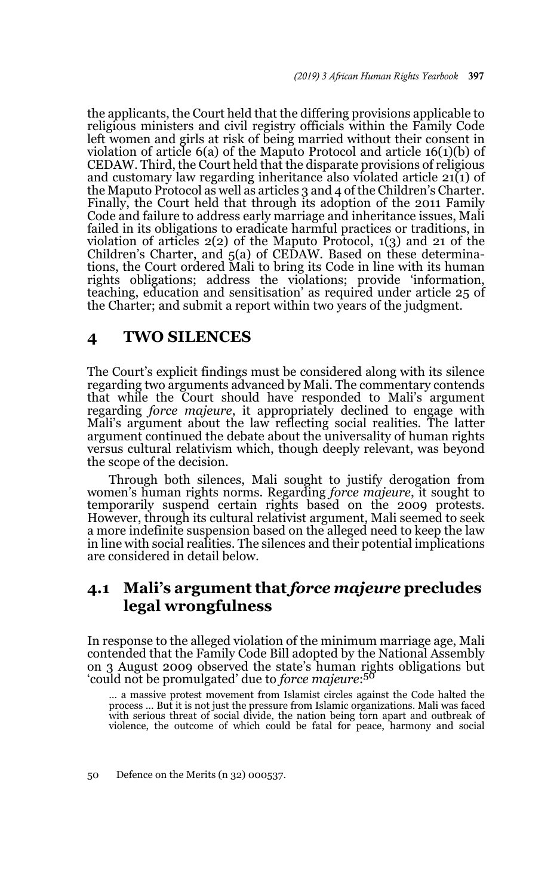the applicants, the Court held that the differing provisions applicable to religious ministers and civil registry officials within the Family Code left women and girls at risk of being married without their consent in violation of article 6(a) of the Maputo Protocol and article 16(1)(b) of CEDAW. Third, the Court held that the disparate provisions of religious and customary law regarding inheritance also violated article  $21(1)$  of the Maputo Protocol as well as articles 3 and 4 of the Children's Charter. Finally, the Court held that through its adoption of the 2011 Family Code and failure to address early marriage and inheritance issues, Mali failed in its obligations to eradicate harmful practices or traditions, in violation of articles 2(2) of the Maputo Protocol, 1(3) and 21 of the Children's Charter, and 5(a) of CEDAW. Based on these determinations, the Court ordered Mali to bring its Code in line with its human rights obligations; address the violations; provide 'information, teaching, education and sensitisation' as required under article 25 of the Charter; and submit a report within two years of the judgment.

# **4 TWO SILENCES**

The Court's explicit findings must be considered along with its silence regarding two arguments advanced by Mali. The commentary contends that while the Court should have responded to Mali's argument regarding *force majeure*, it appropriately declined to engage with Mali's argument about the law reflecting social realities. The latter argument continued the debate about the universality of human rights versus cultural relativism which, though deeply relevant, was beyond the scope of the decision.

Through both silences, Mali sought to justify derogation from women's human rights norms. Regarding *force majeure*, it sought to temporarily suspend certain rights based on the 2009 protests. However, through its cultural relativist argument, Mali seemed to seek a more indefinite suspension based on the alleged need to keep the law in line with social realities. The silences and their potential implications are considered in detail below.

# **4.1 Mali's argument that** *force majeure* **precludes legal wrongfulness**

In response to the alleged violation of the minimum marriage age, Mali contended that the Family Code Bill adopted by the National Assembly on 3 August 2009 observed the state's human rights obligations but 'could not be promulgated' due to *force majeure*: 50

… a massive protest movement from Islamist circles against the Code halted the process ... But it is not just the pressure from Islamic organizations. Mali was faced with serious threat of social divide, the nation being torn apart and outbreak of violence, the outcome of which could be fatal for peace, harmony and social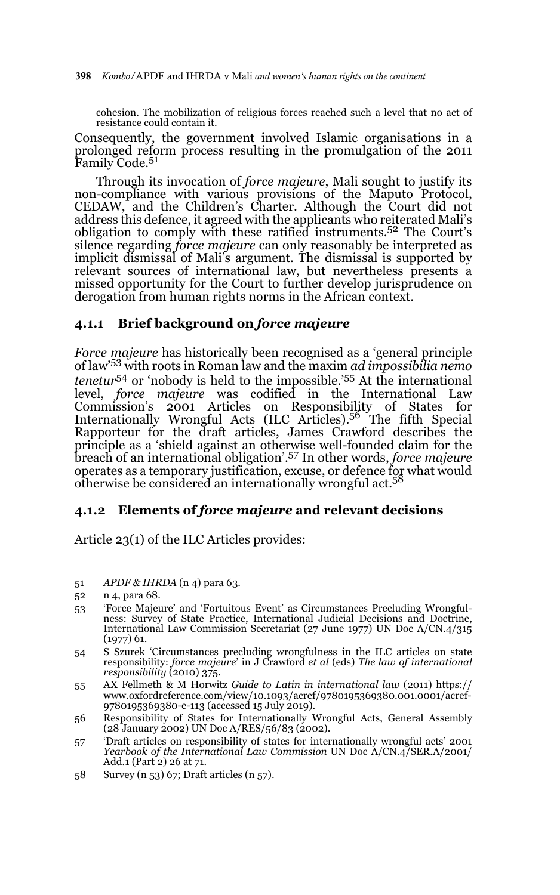cohesion. The mobilization of religious forces reached such a level that no act of resistance could contain it.

Consequently, the government involved Islamic organisations in a prolonged reform process resulting in the promulgation of the 2011 Family Code.51

Through its invocation of *force majeure*, Mali sought to justify its non-compliance with various provisions of the Maputo Protocol, CEDAW, and the Children's Charter. Although the Court did not address this defence, it agreed with the applicants who reiterated Mali's obligation to comply with these ratified instruments.52 The Court's silence regarding *force majeure* can only reasonably be interpreted as implicit dismissal of Mali's argument. The dismissal is supported by relevant sources of international law, but nevertheless presents a missed opportunity for the Court to further develop jurisprudence on derogation from human rights norms in the African context.

## **4.1.1 Brief background on** *force majeure*

*Force majeure* has historically been recognised as a 'general principle of law'53 with roots in Roman law and the maxim *ad impossibilia nemo tenetur*54 or 'nobody is held to the impossible.'55 At the international level, *force majeure* was codified in the International Law Commission's 2001 Articles on Responsibility of States for Internationally Wrongful Acts (ILC Articles).<sup>56</sup> The fifth Special Rapporteur for the draft articles, James Crawford describes the principle as a 'shield against an otherwise well-founded claim for the breach of an international obligation'.57 In other words, *force majeure* operates as a temporary justification, excuse, or defence for what would<br>otherwise be considered an internationally wrongful act.<sup>58</sup>

### **4.1.2 Elements of** *force majeure* **and relevant decisions**

Article 23(1) of the ILC Articles provides:

- 51 *APDF & IHRDA* (n 4) para 63.
- 52 n 4, para 68.
- 53 'Force Majeure' and 'Fortuitous Event' as Circumstances Precluding Wrongfulness: Survey of State Practice, International Judicial Decisions and Doctrine, International Law Commission Secretariat (27 June 1977) UN Doc A/CN.4/315 (1977) 61.
- 54 S Szurek 'Circumstances precluding wrongfulness in the ILC articles on state responsibility: *force majeure*' in J Crawford *et al* (eds) *The law of international responsibility* (2010) 375.
- 55 AX Fellmeth & M Horwitz *Guide to Latin in international law* (2011) https:// www.oxfordreference.com/view/10.1093/acref/9780195369380.001.0001/acref-9780195369380-e-113 (accessed 15 July 2019).
- 56 Responsibility of States for Internationally Wrongful Acts, General Assembly (28 January 2002) UN Doc A/RES/56/83 (2002).
- 57 'Draft articles on responsibility of states for internationally wrongful acts' 2001 *Yearbook of the International Law Commission* UN Doc A/CN.4/SER.A/2001/ Add.1 (Part 2) 26 at 71.
- 58 Survey (n 53) 67; Draft articles (n 57).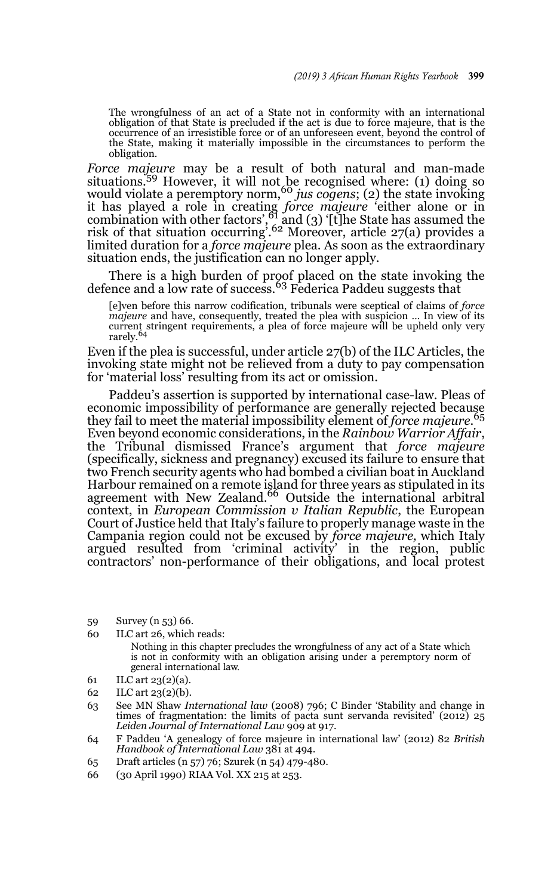The wrongfulness of an act of a State not in conformity with an international obligation of that State is precluded if the act is due to force majeure, that is the occurrence of an irresistible force or of an unforeseen event, beyond the control of the State, making it materially impossible in the circumstances to perform the obligation.

*Force majeure* may be a result of both natural and man-made situations.<sup>59</sup> However, it will not be recognised where: (1) doing so would violate a peremptory norm,<sup>60</sup> *jus cogens*; (2) the state invoking it has played a role in creating *force majeure* 'either alone or in combination with other factors',<sup>61</sup> and (3) '[t]he State has assumed the risk of that situation occurring'.62 Moreover, article 27(a) provides a limited duration for a *force majeure* plea. As soon as the extraordinary situation ends, the justification can no longer apply.

There is a high burden of proof placed on the state invoking the defence and a low rate of success.<sup>63</sup> Federica Paddeu suggests that

[e]ven before this narrow codification, tribunals were sceptical of claims of *force majeure* and have, consequently, treated the plea with suspicion … In view of its current stringent requirements, a plea of force majeure will be upheld only very rarely.64

Even if the plea is successful, under article 27(b) of the ILC Articles, the invoking state might not be relieved from a duty to pay compensation for 'material loss' resulting from its act or omission.

Paddeu's assertion is supported by international case-law. Pleas of economic impossibility of performance are generally rejected because they fail to meet the material impossibility element of *force majeure*. 65 Even beyond economic considerations, in the *Rainbow Warrior Affair*, the Tribunal dismissed France's argument that *force majeure* (specifically, sickness and pregnancy) excused its failure to ensure that two French security agents who had bombed a civilian boat in Auckland Harbour remained on a remote island for three years as stipulated in its agreement with New Zealand.<sup>66</sup> Outside the international arbitral context, in *European Commission v Italian Republic*, the European Court of Justice held that Italy's failure to properly manage waste in the Campania region could not be excused by *force majeure,* which Italy argued resulted from 'criminal activity' in the region, public contractors' non-performance of their obligations, and local protest

- 59 Survey (n 53) 66.
- 60 ILC art 26, which reads:
	- Nothing in this chapter precludes the wrongfulness of any act of a State which is not in conformity with an obligation arising under a peremptory norm of general international law.
- 61 ILC art 23(2)(a).
- 62 ILC art 23(2)(b).
- 63 See MN Shaw *International law* (2008) 796; C Binder 'Stability and change in times of fragmentation: the limits of pacta sunt servanda revisited' (2012) 25 *Leiden Journal of International Law* 909 at 917.
- 64 F Paddeu 'A genealogy of force majeure in international law' (2012) 82 *British Handbook of International Law* 381 at 494.
- 65 Draft articles (n 57) 76; Szurek (n 54) 479-480.
- 66 (30 April 1990) RIAA Vol. XX 215 at 253.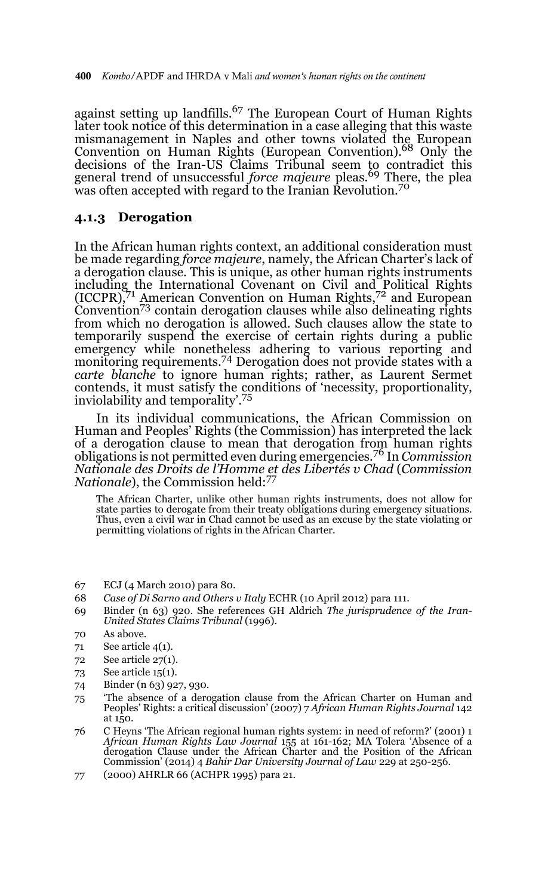against setting up landfills.<sup>67</sup> The European Court of Human Rights later took notice of this determination in a case alleging that this waste mismanagement in Naples and other towns violated the European Convention on Human Rights (European Convention).68 Only the decisions of the Iran-US Claims Tribunal seem to contradict this general trend of unsuccessful *force majeure* pleas.<sup>69</sup> There, the plea was often accepted with regard to the Iranian Revolution.<sup>70</sup>

## **4.1.3 Derogation**

In the African human rights context, an additional consideration must be made regarding *force majeure*, namely, the African Charter's lack of a derogation clause. This is unique, as other human rights instruments including the International Covenant on Civil and Political Rights (ICCPR),71 American Convention on Human Rights,72 and European Convention<sup>73</sup> contain derogation clauses while also delineating rights from which no derogation is allowed. Such clauses allow the state to temporarily suspend the exercise of certain rights during a public emergency while nonetheless adhering to various reporting and monitoring requirements.<sup>74</sup> Derogation does not provide states with a *carte blanche* to ignore human rights; rather, as Laurent Sermet contends, it must satisfy the conditions of 'necessity, proportionality, inviolability and temporality'.<sup>75</sup>

In its individual communications, the African Commission on Human and Peoples' Rights (the Commission) has interpreted the lack of a derogation clause to mean that derogation from human rights obligations is not permitted even during emergencies.76 In *Commission Nationale des Droits de l'Homme et des Libertés v Chad* (*Commission Nationale*), the Commission held:<sup>77</sup>

The African Charter, unlike other human rights instruments, does not allow for state parties to derogate from their treaty obligations during emergency situations. Thus, even a civil war in Chad cannot be used as an excuse by the state violating or permitting violations of rights in the African Charter.

- 67 ECJ (4 March 2010) para 80.
- 68 *Case of Di Sarno and Others v Italy* ECHR (10 April 2012) para 111.
- 69 Binder (n 63) 920. She references GH Aldrich *The jurisprudence of the Iran-United States Claims Tribunal* (1996).

- 71 See article 4(1).
- 72 See article 27(1).
- 73 See article 15(1).
- 74 Binder (n 63) 927, 930.
- 75 'The absence of a derogation clause from the African Charter on Human and Peoples' Rights: a critical discussion' (2007) 7 *African Human Rights Journal* 142 at 150.
- 76 C Heyns 'The African regional human rights system: in need of reform?' (2001) 1 *African Human Rights Law Journal* 155 at 161-162; MA Tolera 'Absence of a derogation Clause under the African Charter and the Position of the African Commission' (2014) 4 *Bahir Dar University Journal of Law* 229 at 250-256.
- 77 (2000) AHRLR 66 (ACHPR 1995) para 21.

<sup>70</sup> As above.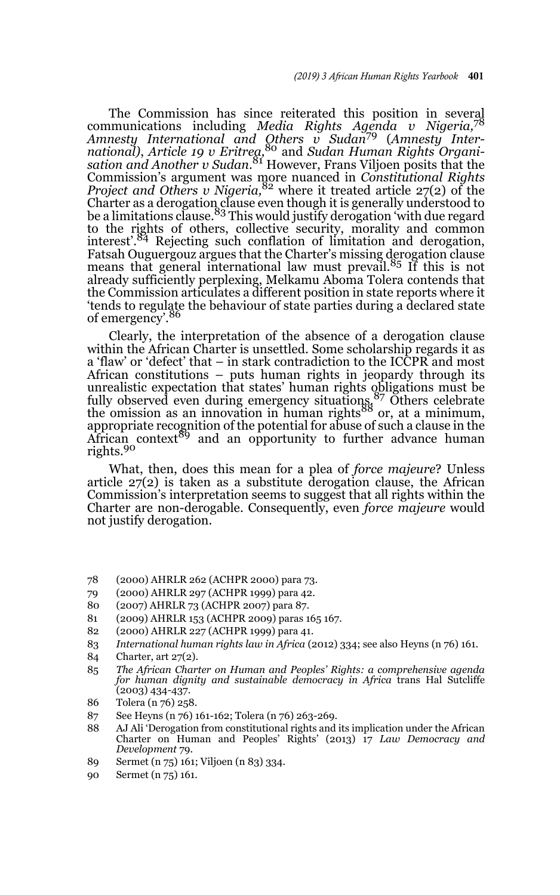The Commission has since reiterated this position in several communications including *Media Rights Agenda v Nigeria,*<sup>78</sup> *Amnesty International and Others v Sudan*<sup>79</sup> (*Amnesty International)*, *Article 19 v Eritrea,*<sup>80</sup> and *Sudan Human Rights Organisation and Another v Sudan*. 81 However, Frans Viljoen posits that the Commission's argument was more nuanced in *Constitutional Rights Project and Others v Nigeria,*<sup>82</sup> where it treated article 27(2) of the Charter as a derogation clause even though it is generally understood to<br>be a limitations clause.<sup>83</sup> This would justify derogation 'with due regard to the rights of others, collective security, morality and common interest'.<sup>84</sup> Rejecting such conflation of limitation and derogation, Fatsah Ouguergouz argues that the Charter's missing derogation clause means that general international law must prevail.<sup>85</sup> If this is not already sufficiently perplexing, Melkamu Aboma Tolera contends that the Commission articulates a different position in state reports where it 'tends to regulate the behaviour of state parties during a declared state of emergency'.<sup>86</sup>

Clearly, the interpretation of the absence of a derogation clause within the African Charter is unsettled. Some scholarship regards it as a 'flaw' or 'defect' that – in stark contradiction to the ICCPR and most African constitutions – puts human rights in jeopardy through its unrealistic expectation that states' human rights obligations must be fully observed even during emergency situations.87 Others celebrate the omission as an innovation in human rights<sup>88</sup> or, at a minimum, appropriate recognition of the potential for abuse of such a clause in the<br>African context<sup>89</sup> and an opportunity to further advance human rights.<sup>90</sup>

What, then, does this mean for a plea of *force majeure*? Unless article 27(2) is taken as a substitute derogation clause, the African Commission's interpretation seems to suggest that all rights within the Charter are non-derogable. Consequently, even *force majeure* would not justify derogation.

- 78 (2000) AHRLR 262 (ACHPR 2000) para 73.
- 79 (2000) AHRLR 297 (ACHPR 1999) para 42.
- 80 (2007) AHRLR 73 (ACHPR 2007) para 87.
- 81 (2009) AHRLR 153 (ACHPR 2009) paras 165 167.
- 82 (2000) AHRLR 227 (ACHPR 1999) para 41.
- 83 *International human rights law in Africa* (2012) 334; see also Heyns (n 76) 161.
- 84 Charter, art 27(2).
- 85 *The African Charter on Human and Peoples' Rights: a comprehensive agenda for human dignity and sustainable democracy in Africa* trans Hal Sutcliffe (2003) 434-437.
- 86 Tolera (n 76) 258.
- 87 See Heyns (n 76) 161-162; Tolera (n 76) 263-269.
- 88 AJ Ali 'Derogation from constitutional rights and its implication under the African Charter on Human and Peoples' Rights' (2013) 17 *Law Democracy and Development* 79.
- 89 Sermet (n 75) 161; Viljoen (n 83) 334.
- 90 Sermet (n 75) 161.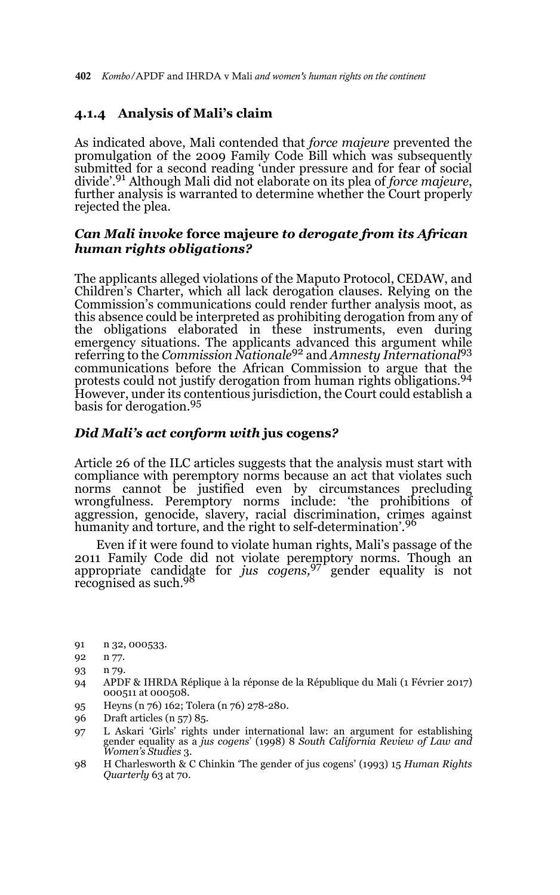# **4.1.4 Analysis of Mali's claim**

As indicated above, Mali contended that *force majeure* prevented the promulgation of the 2009 Family Code Bill which was subsequently submitted for a second reading 'under pressure and for fear of social divide'.91 Although Mali did not elaborate on its plea of *force majeure*, further analysis is warranted to determine whether the Court properly rejected the plea.

# *Can Mali invoke* **force majeure** *to derogate from its African human rights obligations?*

The applicants alleged violations of the Maputo Protocol, CEDAW, and Children's Charter, which all lack derogation clauses. Relying on the Commission's communications could render further analysis moot, as this absence could be interpreted as prohibiting derogation from any of the obligations elaborated in these instruments, even during emergency situations. The applicants advanced this argument while referring to the *Commission Nationale*<sup>92</sup> and *Amnesty International*<sup>93</sup> communications before the African Commission to argue that the protests could not justify derogation from human rights obligations.94 However, under its contentious jurisdiction, the Court could establish a basis for derogation.<sup>95</sup>

### *Did Mali's act conform with* **jus cogens***?*

Article 26 of the ILC articles suggests that the analysis must start with compliance with peremptory norms because an act that violates such norms cannot be justified even by circumstances precluding wrongfulness. Peremptory norms include: 'the prohibitions of aggression, genocide, slavery, racial discrimination, crimes against humanity and torture, and the right to self-determination'.<sup>96</sup>

Even if it were found to violate human rights, Mali's passage of the 2011 Family Code did not violate peremptory norms. Though an appropriate candidate for *jus cogens,*97 gender equality is not recognised as such.98

91 n 32, 000533.

- 94 APDF & IHRDA Réplique à la réponse de la République du Mali (1 Février 2017) 000511 at 000508.
- 95 Heyns (n 76) 162; Tolera (n 76) 278-280.
- 96 Draft articles (n 57) 85.
- 97 L Askari 'Girls' rights under international law: an argument for establishing gender equality as a *jus cogens*' (1998) 8 *South California Review of Law and Women's Studies* 3.
- 98 H Charlesworth & C Chinkin 'The gender of jus cogens' (1993) 15 *Human Rights Quarterly* 63 at 70.

<sup>92</sup> n 77.

<sup>93</sup> n 79.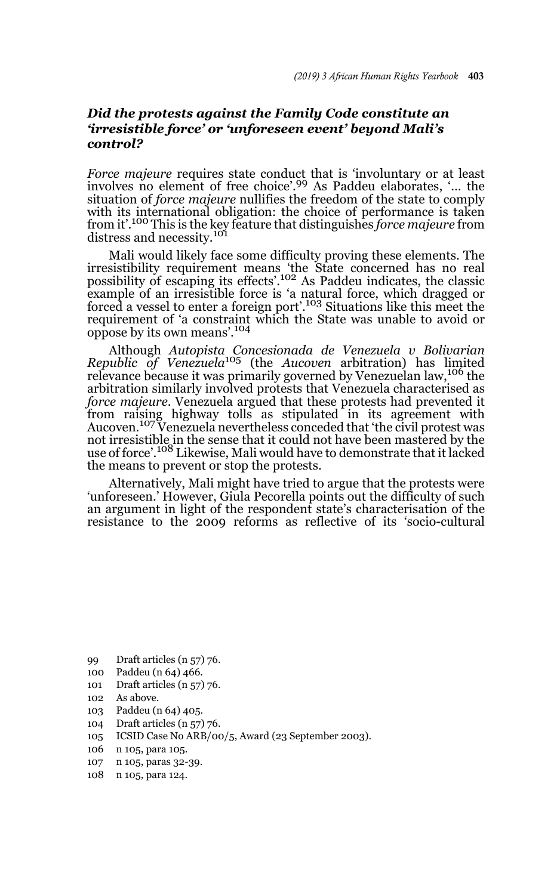## *Did the protests against the Family Code constitute an 'irresistible force' or 'unforeseen event' beyond Mali's control?*

*Force majeure* requires state conduct that is 'involuntary or at least involves no element of free choice'.99 As Paddeu elaborates, '… the situation of *force majeure* nullifies the freedom of the state to comply with its international obligation: the choice of performance is taken from it'.100 This is the key feature that distinguishes *force majeure* from distress and necessity.<sup>101</sup>

Mali would likely face some difficulty proving these elements. The irresistibility requirement means 'the State concerned has no real possibility of escaping its effects'.102 As Paddeu indicates, the classic example of an irresistible force is 'a natural force, which dragged or forced a vessel to enter a foreign port'.103 Situations like this meet the requirement of 'a constraint which the State was unable to avoid or oppose by its own means'.<sup>104</sup>

Although *Autopista Concesionada de Venezuela v Bolivarian Republic of Venezuela*<sup>105</sup> (the *Aucoven* arbitration) has limited relevance because it was primarily governed by Venezuelan law,<sup>106</sup> the arbitration similarly involved protests that Venezuela characterised as *force majeure*. Venezuela argued that these protests had prevented it from raising highway tolls as stipulated in its agreement with Aucoven.107 Venezuela nevertheless conceded that 'the civil protest was not irresistible in the sense that it could not have been mastered by the use of force'.108 Likewise, Mali would have to demonstrate that it lacked the means to prevent or stop the protests.

Alternatively, Mali might have tried to argue that the protests were 'unforeseen.' However, Giula Pecorella points out the difficulty of such an argument in light of the respondent state's characterisation of the resistance to the 2009 reforms as reflective of its 'socio-cultural

- 99 Draft articles (n 57) 76.
- 100 Paddeu (n 64) 466.
- 101 Draft articles (n 57) 76.
- 102 As above.
- 103 Paddeu (n 64) 405.
- 104 Draft articles (n 57) 76.
- 105 ICSID Case No ARB/00/5, Award (23 September 2003).
- 106 n 105, para 105.
- 107 n 105, paras 32-39.
- 108 n 105, para 124.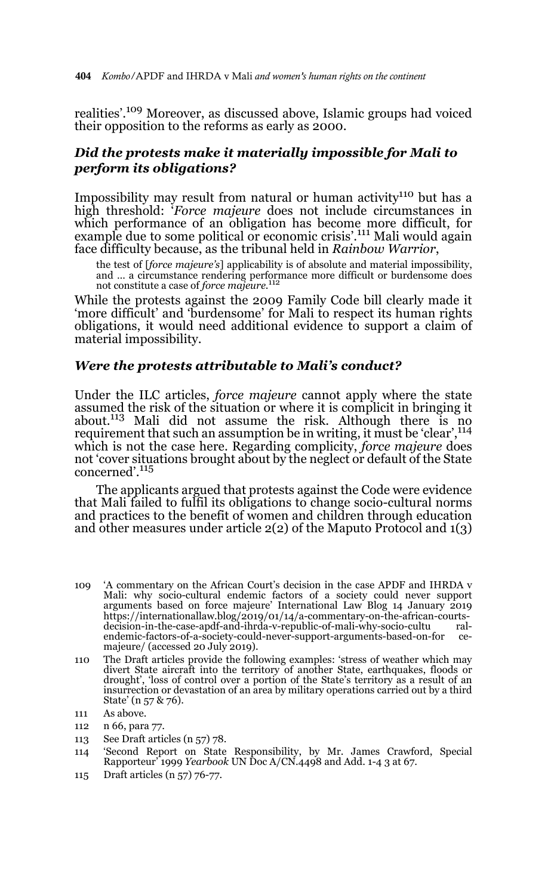realities'.109 Moreover, as discussed above, Islamic groups had voiced their opposition to the reforms as early as 2000.

# *Did the protests make it materially impossible for Mali to perform its obligations?*

Impossibility may result from natural or human activity<sup>110</sup> but has a high threshold: '*Force majeure* does not include circumstances in which performance of an obligation has become more difficult, for example due to some political or economic crisis'.<sup>111</sup> Mali would again face difficulty because, as the tribunal held in *Rainbow Warrior*,

the test of [*force majeure's*] applicability is of absolute and material impossibility, and ... a circumstance rendering performance more difficult or burdensome does not constitute a case of *force majeure*.<sup>112</sup>

While the protests against the 2009 Family Code bill clearly made it 'more difficult' and 'burdensome' for Mali to respect its human rights obligations, it would need additional evidence to support a claim of material impossibility.

#### *Were the protests attributable to Mali's conduct?*

Under the ILC articles, *force majeure* cannot apply where the state assumed the risk of the situation or where it is complicit in bringing it about. $113$  Mali did not assume the risk. Although there is no requirement that such an assumption be in writing, it must be 'clear',<sup>114</sup> which is not the case here. Regarding complicity, *force majeure* does not 'cover situations brought about by the neglect or default of the State concerned'.115

The applicants argued that protests against the Code were evidence that Mali failed to fulfil its obligations to change socio-cultural norms and practices to the benefit of women and children through education and other measures under article 2(2) of the Maputo Protocol and 1(3)

- 109 'A commentary on the African Court's decision in the case APDF and IHRDA v Mali: why socio-cultural endemic factors of a society could never support arguments based on force majeure' International Law Blog 14 January 2019 https://internationallaw.blog/2019/01/14/a-commentary-on-the-african-courtsdecision-in-the-case-apdf-and-ihrda-v-republic-of-mali-why-socio-cultu endemic-factors-of-a-society-could-never-support-arguments-based-on-for cemajeure/ (accessed 20 July 2019).
- 110 The Draft articles provide the following examples: 'stress of weather which may divert State aircraft into the territory of another State, earthquakes, floods or drought', 'loss of control over a portion of the State's territory as a result of an insurrection or devastation of an area by military operations carried out by a third State' (n 57 & 76).
- 111 As above.
- 112 n 66, para 77.
- 113 See Draft articles (n 57) 78.
- 114 'Second Report on State Responsibility, by Mr. James Crawford, Special Rapporteur' 1999 *Yearbook* UN Doc A/CN.4498 and Add. 1-4 3 at 67.
- 115 Draft articles (n 57) 76-77.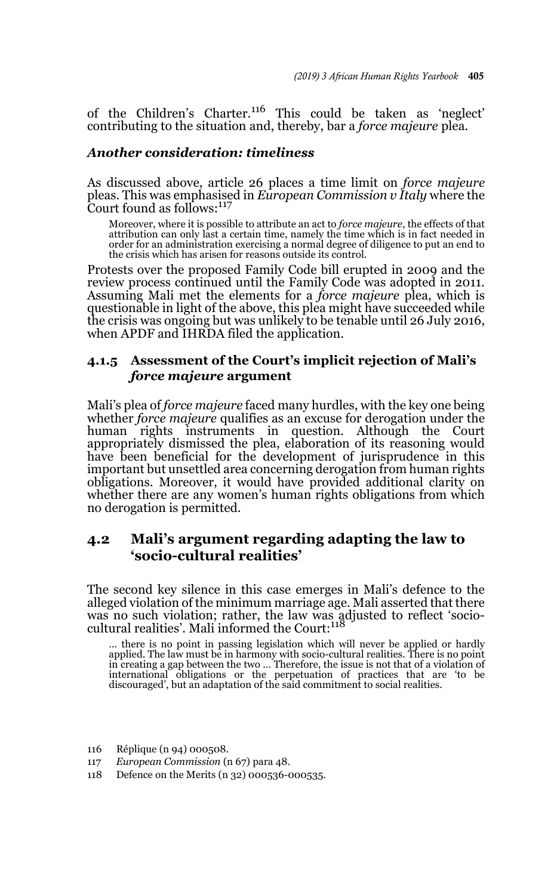of the Children's Charter.116 This could be taken as 'neglect' contributing to the situation and, thereby, bar a *force majeure* plea.

### *Another consideration: timeliness*

As discussed above, article 26 places a time limit on *force majeure* pleas. This was emphasised in *European Commission v Italy* where the Court found as follows:<sup>117</sup>

Moreover, where it is possible to attribute an act to *force majeure*, the effects of that attribution can only last a certain time, namely the time which is in fact needed in order for an administration exercising a normal degree of diligence to put an end to the crisis which has arisen for reasons outside its control.

Protests over the proposed Family Code bill erupted in 2009 and the review process continued until the Family Code was adopted in 2011. Assuming Mali met the elements for a *force majeure* plea, which is questionable in light of the above, this plea might have succeeded while the crisis was ongoing but was unlikely to be tenable until 26 July 2016, when APDF and IHRDA filed the application.

## **4.1.5 Assessment of the Court's implicit rejection of Mali's**  *force majeure* **argument**

Mali's plea of *force majeure* faced many hurdles, with the key one being whether *force majeure* qualifies as an excuse for derogation under the human rights instruments in question. Although the Court appropriately dismissed the plea, elaboration of its reasoning would have been beneficial for the development of jurisprudence in this important but unsettled area concerning derogation from human rights obligations. Moreover, it would have provided additional clarity on whether there are any women's human rights obligations from which no derogation is permitted.

# **4.2 Mali's argument regarding adapting the law to 'socio-cultural realities'**

The second key silence in this case emerges in Mali's defence to the alleged violation of the minimum marriage age. Mali asserted that there was no such violation; rather, the law was adjusted to reflect 'socio-cultural realities'. Mali informed the Court:<sup>118</sup>

… there is no point in passing legislation which will never be applied or hardly applied. The law must be in harmony with socio-cultural realities. There is no point in creating a gap between the two ... Therefore, the issue is not that of a violation of international obligations or the perpetuation of practices that are 'to be discouraged', but an adaptation of the said commitment to

- 116 Réplique (n 94) 000508.
- 117 *European Commission* (n 67) para 48.
- 118 Defence on the Merits (n 32) 000536-000535.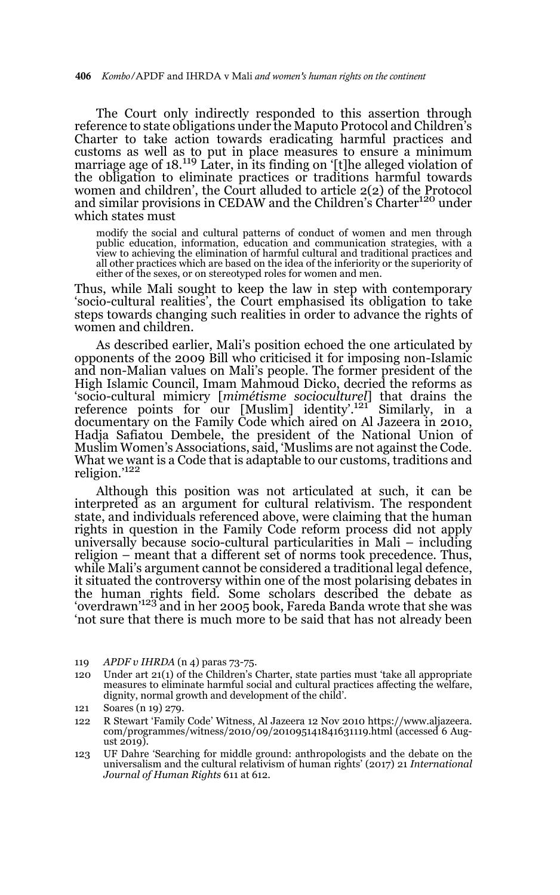The Court only indirectly responded to this assertion through reference to state obligations under the Maputo Protocol and Children's Charter to take action towards eradicating harmful practices and customs as well as to put in place measures to ensure a minimum marriage age of 18.<sup>119</sup> Later, in its finding on '[t]he alleged violation of the obligation to eliminate practices or traditions harmful towards women and children', the Court alluded to article 2(2) of the Protocol and similar provisions in CEDAW and the Children's Charter120 under which states must

modify the social and cultural patterns of conduct of women and men through public education, information, education and communication strategies, with a view to achieving the elimination of harmful cultural and traditional practices and all other practices which are based on the idea of the inferiority or the superiority of either of the sexes, or on stereotyped roles for women and men.

Thus, while Mali sought to keep the law in step with contemporary 'socio-cultural realities', the Court emphasised its obligation to take steps towards changing such realities in order to advance the rights of women and children.

As described earlier, Mali's position echoed the one articulated by opponents of the 2009 Bill who criticised it for imposing non-Islamic and non-Malian values on Mali's people. The former president of the High Islamic Council, Imam Mahmoud Dicko, decried the reforms as 'socio-cultural mimicry [*mimétisme socioculturel*] that drains the reference points for our [Muslim] identity'.121 Similarly, in a documentary on the Family Code which aired on Al Jazeera in 2010, Hadja Safiatou Dembele, the president of the National Union of Muslim Women's Associations, said, 'Muslims are not against the Code. What we want is a Code that is adaptable to our customs, traditions and<br>religion.'<sup>122</sup>

Although this position was not articulated at such, it can be interpreted as an argument for cultural relativism. The respondent state, and individuals referenced above, were claiming that the human rights in question in the Family Code reform process did not apply universally because socio-cultural particularities in Mali – including religion – meant that a different set of norms took precedence. Thus, while Mali's argument cannot be considered a traditional legal defence, it situated the controversy within one of the most polarising debates in the human rights field. Some scholars described the debate as 'overdrawn'<sup>123</sup> and in her 2005 book, Fareda Banda wrote that she was 'not sure that there is much more to be said that has not already been

120 Under art 21(1) of the Children's Charter, state parties must 'take all appropriate measures to eliminate harmful social and cultural practices affecting the welfare, dignity, normal growth and development of the child'.

- 122 R Stewart 'Family Code' Witness, Al Jazeera 12 Nov 2010 https://www.aljazeera. com/programmes/witness/2010/09/201095141841631119.html (accessed 6 August 2019).
- 123 UF Dahre 'Searching for middle ground: anthropologists and the debate on the universalism and the cultural relativism of human rights' (2017) 21 *International Journal of Human Rights* 611 at 612.

<sup>119</sup> *APDF v IHRDA* (n 4) paras 73-75.

<sup>121</sup> Soares (n 19) 279.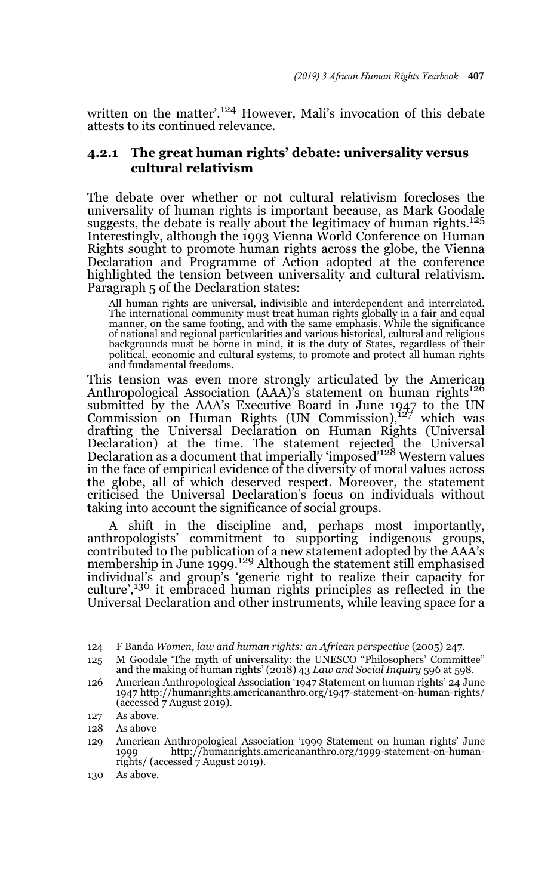written on the matter'.<sup>124</sup> However, Mali's invocation of this debate attests to its continued relevance.

# **4.2.1 The great human rights' debate: universality versus cultural relativism**

The debate over whether or not cultural relativism forecloses the universality of human rights is important because, as Mark Goodale suggests, the debate is really about the legitimacy of human rights.<sup>125</sup> Interestingly, although the 1993 Vienna World Conference on Human Rights sought to promote human rights across the globe, the Vienna Declaration and Programme of Action adopted at the conference highlighted the tension between universality and cultural relativism. Paragraph 5 of the Declaration states:

All human rights are universal, indivisible and interdependent and interrelated. The international community must treat human rights globally in a fair and equal manner, on the same footing, and with the same emphasis. While the significance of national and regional particularities and various historical, cultural and religious backgrounds must be borne in mind, it is the duty of States, regardless of their political, economic and cultural systems, to promote and protect all human rights and fundamental freedoms.

This tension was even more strongly articulated by the American Anthropological Association (AAA)'s statement on human rights<sup>126</sup> submitted by the AAA's Executive Board in June 1947 to the UN<br>Commission on Human Rights (UN Commission),<sup>127</sup> which was drafting the Universal Declaration on Human Rights (Universal Declaration) at the time. The statement rejected the Universal<br>Declaration as a document that imperially 'imposed'<sup>128</sup> Western values in the face of empirical evidence of the diversity of moral values across the globe, all of which deserved respect. Moreover, the statement criticised the Universal Declaration's focus on individuals without taking into account the significance of social groups.

A shift in the discipline and, perhaps most importantly, anthropologists' commitment to supporting indigenous groups, contributed to the publication of a new statement adopted by the AAA's membership in June 1999.<sup>129</sup> Although the statement still emphasised individual's and group's 'generic right to realize their capacity for culture',130 it embraced human rights principles as reflected in the Universal Declaration and other instruments, while leaving space for a

126 American Anthropological Association '1947 Statement on human rights' 24 June 1947 http://humanrights.americananthro.org/1947-statement-on-human-rights/ (accessed 7 August 2019).

128 As above

<sup>124</sup> F Banda *Women, law and human rights: an African perspective* (2005) 247.

<sup>125</sup> M Goodale 'The myth of universality: the UNESCO "Philosophers' Committee" and the making of human rights' (2018) 43 *Law and Social Inquiry* 596 at 598.

<sup>127</sup> As above.

<sup>129</sup> American Anthropological Association '1999 Statement on human rights' June http://humanrights.americananthro.org/1999-statement-on-humanrights/ (accessed 7 August 2019).

<sup>130</sup> As above.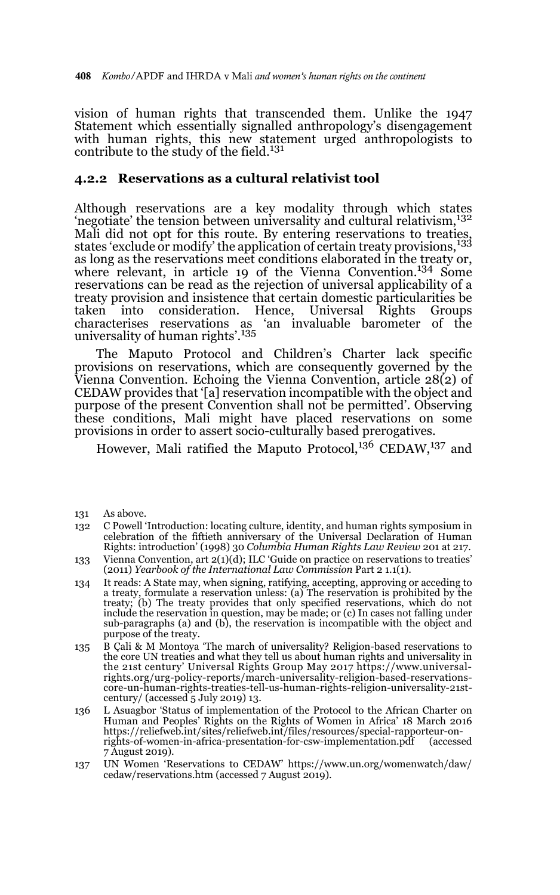vision of human rights that transcended them. Unlike the 1947 Statement which essentially signalled anthropology's disengagement with human rights, this new statement urged anthropologists to contribute to the study of the field.<sup>131</sup>

### **4.2.2 Reservations as a cultural relativist tool**

Although reservations are a key modality through which states 'negotiate' the tension between universality and cultural relativism,<sup>132</sup> Mali did not opt for this route. By entering reservations to treaties, states 'exclude or modify' the application of certain treaty provisions,<sup>133</sup> as long as the reservations meet conditions elaborated in the treaty or, where relevant, in article 19 of the Vienna Convention.<sup>134</sup> Some reservations can be read as the rejection of universal applicability of a treaty provision and insistence that certain domestic particularities be<br>taken into consideration. Hence, Universal Rights Groups taken into consideration. Hence, Universal Rights Groups 'an invaluable barometer of the universality of human rights'.<sup>135</sup>

The Maputo Protocol and Children's Charter lack specific provisions on reservations, which are consequently governed by the Vienna Convention. Echoing the Vienna Convention, article 28(2) of CEDAW provides that '[a] reservation incompatible with the object and purpose of the present Convention shall not be permitted'. Observing these conditions, Mali might have placed reservations on some provisions in order to assert socio-culturally based prerogatives.

However, Mali ratified the Maputo Protocol,<sup>136</sup> CEDAW,<sup>137</sup> and

- 131 As above.
- 132 C Powell 'Introduction: locating culture, identity, and human rights symposium in celebration of the fiftieth anniversary of the Universal Declaration of Human Rights: introduction' (1998) 30 *Columbia Human Rights Law Review* 201 at 217.
- 133 Vienna Convention, art 2(1)(d); ILC 'Guide on practice on reservations to treaties' (2011) *Yearbook of the International Law Commission* Part 2 1.1(1).
- 134 It reads: A State may, when signing, ratifying, accepting, approving or acceding to a treaty, formulate a reservation unless: (a) The reservation is prohibited by the treaty; (b) The treaty provides that only specified reservations, which do not include the reservation in question, may be made; or (c) In cases not falling under sub-paragraphs (a) and (b), the reservation is incompatible with the object and purpose of the treaty.
- 135 B Çali & M Montoya 'The march of universality? Religion-based reservations to the core UN treaties and what they tell us about human rights and universality in the 21st century' Universal Rights Group May 2017 https://www.universalrights.org/urg-policy-reports/march-universality-religion-based-reservationscore-un-human-rights-treaties-tell-us-human-rights-religion-universality-21stcentury/ (accessed  $\bar{5}$  July 2019) 13.
- 136 L Asuagbor 'Status of implementation of the Protocol to the African Charter on Human and Peoples' Rights on the Rights of Women in Africa' 18 March 2016 https://reliefweb.int/sites/reliefweb.int/files/resources/special-rapporteur-onrights-of-women-in-africa-presentation-for-csw-implementation.pdf (accessed 7 August 2019).
- 137 UN Women 'Reservations to CEDAW' https://www.un.org/womenwatch/daw/ cedaw/reservations.htm (accessed 7 August 2019).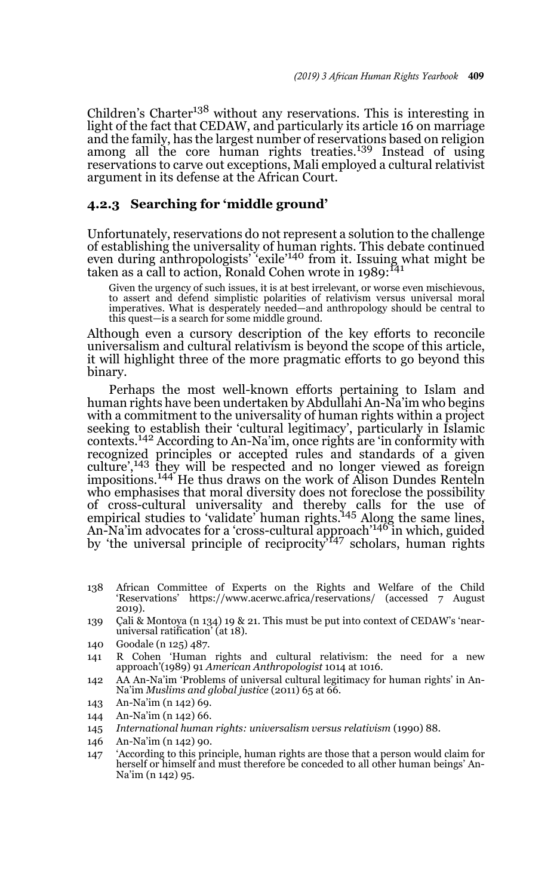Children's Charter<sup>138</sup> without any reservations. This is interesting in light of the fact that CEDAW, and particularly its article 16 on marriage and the family, has the largest number of reservations based on religion among all the core human rights treaties.<sup>139</sup> Instead of using reservations to carve out exceptions, Mali employed a cultural relativist argument in its defense at the African Court.

#### **4.2.3 Searching for 'middle ground'**

Unfortunately, reservations do not represent a solution to the challenge of establishing the universality of human rights. This debate continued even during anthropologists' 'exile'<sup>140</sup> from it. Issuing what might be taken as a call to action, Ronald Cohen wrote in 1989:<sup>141</sup>

Given the urgency of such issues, it is at best irrelevant, or worse even mischievous, to assert and defend simplistic polarities of relativism versus universal moral imperatives. What is desperately needed—and anthropology should be central to this quest—is a search for some middle ground.

Although even a cursory description of the key efforts to reconcile universalism and cultural relativism is beyond the scope of this article, it will highlight three of the more pragmatic efforts to go beyond this binary.

Perhaps the most well-known efforts pertaining to Islam and human rights have been undertaken by Abdullahi An-Na'im who begins with a commitment to the universality of human rights within a project seeking to establish their 'cultural legitimacy', particularly in Islamic contexts.142 According to An-Na'im, once rights are 'in conformity with recognized principles or accepted rules and standards of a given culture',143 they will be respected and no longer viewed as foreign impositions.<sup>144</sup> He thus draws on the work of Alison Dundes Renteln who emphasises that moral diversity does not foreclose the possibility of cross-cultural universality and thereby calls for the use of empirical studies to 'validate' human rights.145 Along the same lines, An-Na'im advocates for a 'cross-cultural approach'146 in which, guided by 'the universal principle of reciprocity<sup>147</sup> scholars, human rights

- 138 African Committee of Experts on the Rights and Welfare of the Child 'Reservations' https://www.acerwc.africa/reservations/ (accessed 7 August 2019).
- 139 Çali & Montoya (n 134) 19 & 21. This must be put into context of CEDAW's 'nearuniversal ratification' (at 18).
- 140 Goodale (n 125) 487.
- 141 R Cohen 'Human rights and cultural relativism: the need for a new approach'(1989) 91 *American Anthropologist* 1014 at 1016.
- 142 AA An-Na'im 'Problems of universal cultural legitimacy for human rights' in An-Na'im *Muslims and global justice* (2011) 65 at 66.
- 143 An-Na'im (n 142) 69.
- 144 An-Na'im (n 142) 66.
- 145 *International human rights: universalism versus relativism* (1990) 88.
- 146 An-Na'im (n 142) 90.
- 147 'According to this principle, human rights are those that a person would claim for herself or himself and must therefore be conceded to all other human beings' An-Na'im (n 142) 95.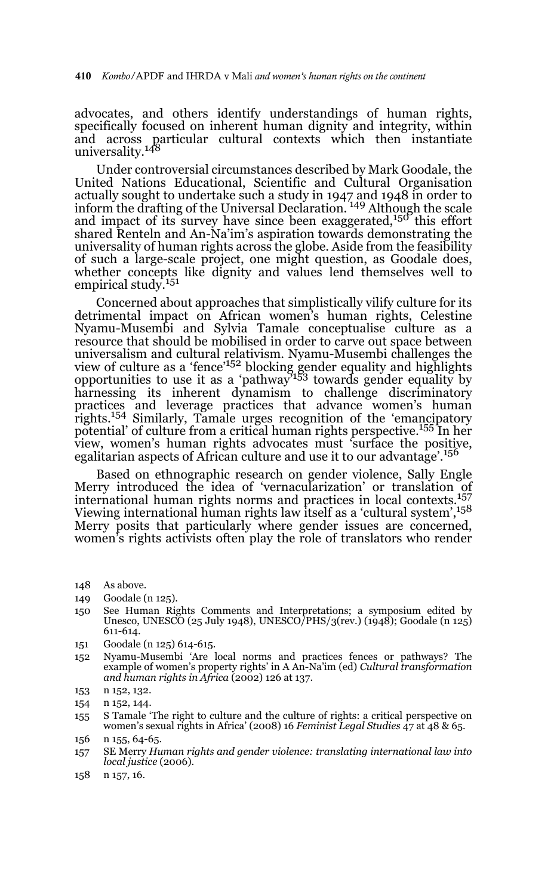advocates, and others identify understandings of human rights, specifically focused on inherent human dignity and integrity, within and across particular cultural contexts which then instantiate universality.148

Under controversial circumstances described by Mark Goodale, the United Nations Educational, Scientific and Cultural Organisation actually sought to undertake such a study in 1947 and 1948 in order to<br>inform the drafting of the Universal Declaration. <sup>149</sup> Although the scale and impact of its survey have since been exaggerated,<sup>150</sup> this effort shared Renteln and An-Na'im's aspiration towards demonstrating the universality of human rights across the globe. Aside from the feasibility of such a large-scale project, one might question, as Goodale does, whether concepts like dignity and values lend themselves well to empirical study.<sup>151</sup>

Concerned about approaches that simplistically vilify culture for its detrimental impact on African women's human rights, Celestine Nyamu-Musembi and Sylvia Tamale conceptualise culture as a resource that should be mobilised in order to carve out space between universalism and cultural relativism. Nyamu-Musembi challenges the<br>view of culture as a 'fence'<sup>152</sup> blocking gender equality and highlights opportunities to use it as a 'pathway'153 towards gender equality by harnessing its inherent dynamism to challenge discriminatory practices and leverage practices that advance women's human<br>rights.<sup>154</sup> Similarly, Tamale urges recognition of the 'emancipatory potential' of culture from a critical human rights perspective.155 In her view, women's human rights advocates must 'surface the positive, egalitarian aspects of African culture and use it to our advantage'.156

Based on ethnographic research on gender violence, Sally Engle Merry introduced the idea of 'vernacularization' or translation of<br>international human rights norms and practices in local contexts.<sup>157</sup> Viewing international human rights law itself as a 'cultural system',158 Merry posits that particularly where gender issues are concerned, women's rights activists often play the role of translators who render

- 148 As above.
- 149 Goodale (n 125).
- 150 See Human Rights Comments and Interpretations; a symposium edited by Unesco, UNESCO (25 July 1948), UNESCO/PHS/3(rev.) (1948); Goodale (n 125) 611-614.
- 151 Goodale (n 125) 614-615.
- 152 Nyamu-Musembi 'Are local norms and practices fences or pathways? The example of women's property rights' in A An-Na'im (ed) *Cultural transformation and human rights in Africa* (2002) 126 at 137.
- 153 n 152, 132.
- 154 n 152, 144.
- 155 S Tamale 'The right to culture and the culture of rights: a critical perspective on women's sexual rights in Africa' (2008) 16 *Feminist Legal Studies* 47 at 48 & 65.
- 156 n 155, 64-65.
- 157 SE Merry *Human rights and gender violence: translating international law into local justice* (2006).
- 158 n 157, 16.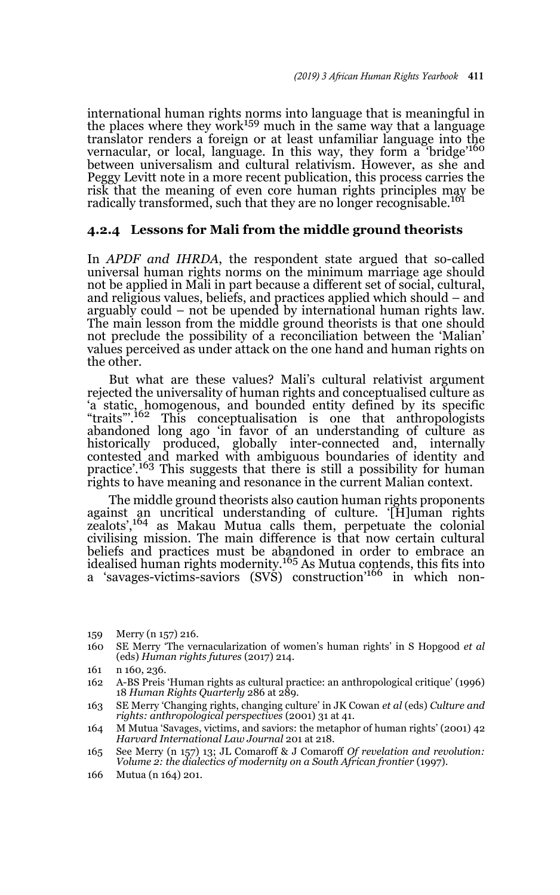international human rights norms into language that is meaningful in the places where they work<sup>159</sup> much in the same way that a language translator renders a foreign or at least unfamiliar language into the vernacular, or local, language. In this way, they form a 'bridge'<sup>160</sup> between universalism and cultural relativism. However, as she and Peggy Levitt note in a more recent publication, this process carries the risk that the meaning of even core human rights principles may be radically transformed, such that they are no longer recognisable.<sup>161</sup>

#### **4.2.4 Lessons for Mali from the middle ground theorists**

In *APDF and IHRDA*, the respondent state argued that so-called universal human rights norms on the minimum marriage age should not be applied in Mali in part because a different set of social, cultural, and religious values, beliefs, and practices applied which should – and arguably could – not be upended by international human rights law. The main lesson from the middle ground theorists is that one should not preclude the possibility of a reconciliation between the 'Malian' values perceived as under attack on the one hand and human rights on the other.

But what are these values? Mali's cultural relativist argument rejected the universality of human rights and conceptualised culture as 'a static, homogenous, and bounded entity defined by its specific "traits"'.162 This conceptualisation is one that anthropologists abandoned long ago 'in favor of an understanding of culture as historically produced, globally inter-connected and, internally contested and marked with ambiguous boundaries of identity and practice'.<sup>163</sup> This suggests that there is still a possibility for human rights to have meaning and resonance in the current Malian context.

The middle ground theorists also caution human rights proponents against an uncritical understanding of culture. '[H]uman rights<br>zealots',<sup>164</sup> as Makau Mutua calls them, perpetuate the colonial civilising mission. The main difference is that now certain cultural beliefs and practices must be abandoned in order to embrace an<br>idealised human rights modernity.<sup>165</sup> As Mutua contends, this fits into a 'savages-victims-saviors (SVS) construction<sup>'166</sup> in which non-

<sup>159</sup> Merry (n 157) 216.

<sup>160</sup> SE Merry 'The vernacularization of women's human rights' in S Hopgood *et al* (eds) *Human rights futures* (2017) 214.

<sup>161</sup> n 160, 236.

<sup>162</sup> A-BS Preis 'Human rights as cultural practice: an anthropological critique' (1996) 18 *Human Rights Quarterly* 286 at 289.

<sup>163</sup> SE Merry 'Changing rights, changing culture' in JK Cowan *et al* (eds) *Culture and rights: anthropological perspectives* (2001) 31 at 41.

<sup>164</sup> M Mutua 'Savages, victims, and saviors: the metaphor of human rights' (2001) 42 *Harvard International Law Journal* 201 at 218.

<sup>165</sup> See Merry (n 157) 13; JL Comaroff & J Comaroff *Of revelation and revolution: Volume 2: the dialectics of modernity on a South African frontier* (1997).

<sup>166</sup> Mutua (n 164) 201.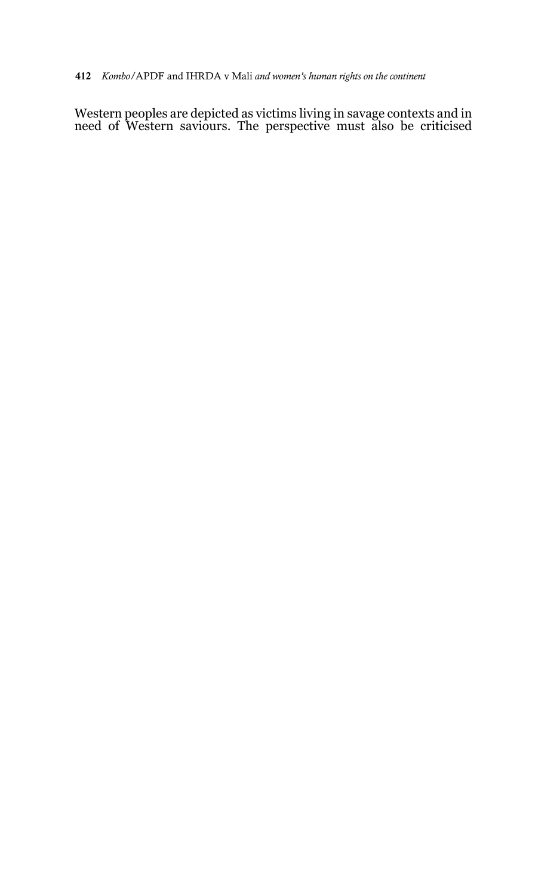Western peoples are depicted as victims living in savage contexts and in need of Western saviours. The perspective must also be criticised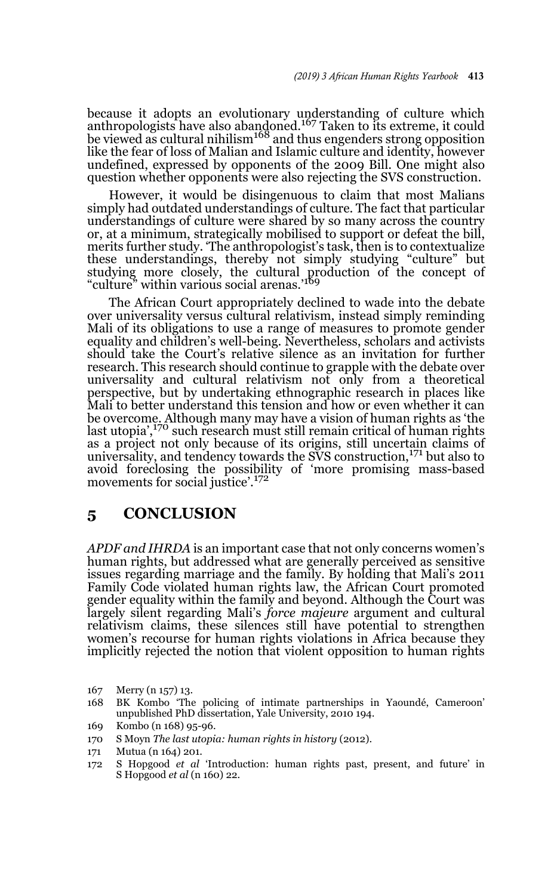because it adopts an evolutionary understanding of culture which<br>anthropologists have also abangoned.<sup>167</sup> Taken to its extreme, it could be viewed as cultural nihilism<sup>168</sup> and thus engenders strong opposition like the fear of loss of Malian and Islamic culture and identity, however undefined, expressed by opponents of the 2009 Bill. One might also question whether opponents were also rejecting the SVS construction.

However, it would be disingenuous to claim that most Malians simply had outdated understandings of culture. The fact that particular understandings of culture were shared by so many across the country or, at a minimum, strategically mobilised to support or defeat the bill, merits further study. 'The anthropologist's task, then is to contextualize these understandings, thereby not simply studying "culture" but studying more closely, the cultural production of the concept of "culture" within various social arenas.'<sup>169</sup>

The African Court appropriately declined to wade into the debate over universality versus cultural relativism, instead simply reminding Mali of its obligations to use a range of measures to promote gender equality and children's well-being. Nevertheless, scholars and activists should take the Court's relative silence as an invitation for further research. This research should continue to grapple with the debate over universality and cultural relativism not only from a theoretical perspective, but by undertaking ethnographic research in places like Mali to better understand this tension and how or even whether it can be overcome. Although many may have a vision of human rights as 'the last utopia',<sup>170</sup> such research must still remain critical of human rights as a project not only because of its origins, still uncertain claims of universality, and tendency towards the  $SVS$  construction,  $^{171}$  but also to avoid foreclosing the possibility of 'more promising mass-based movements for social justice'.<sup>172</sup>

# **5 CONCLUSION**

*APDF and IHRDA* is an important case that not only concerns women's human rights, but addressed what are generally perceived as sensitive issues regarding marriage and the family. By holding that Mali's 2011 Family Code violated human rights law, the African Court promoted gender equality within the family and beyond. Although the Court was largely silent regarding Mali's *force majeure* argument and cultural relativism claims, these silences still have potential to strengthen women's recourse for human rights violations in Africa because they implicitly rejected the notion that violent opposition to human rights

- 167 Merry (n 157) 13.
- 168 BK Kombo 'The policing of intimate partnerships in Yaoundé, Cameroon' unpublished PhD dissertation, Yale University, 2010 194.
- 169 Kombo (n 168) 95-96.
- 170 S Moyn *The last utopia: human rights in history* (2012).
- 171 Mutua (n 164) 201.
- 172 S Hopgood *et al* 'Introduction: human rights past, present, and future' in S Hopgood *et al* (n 160) 22.